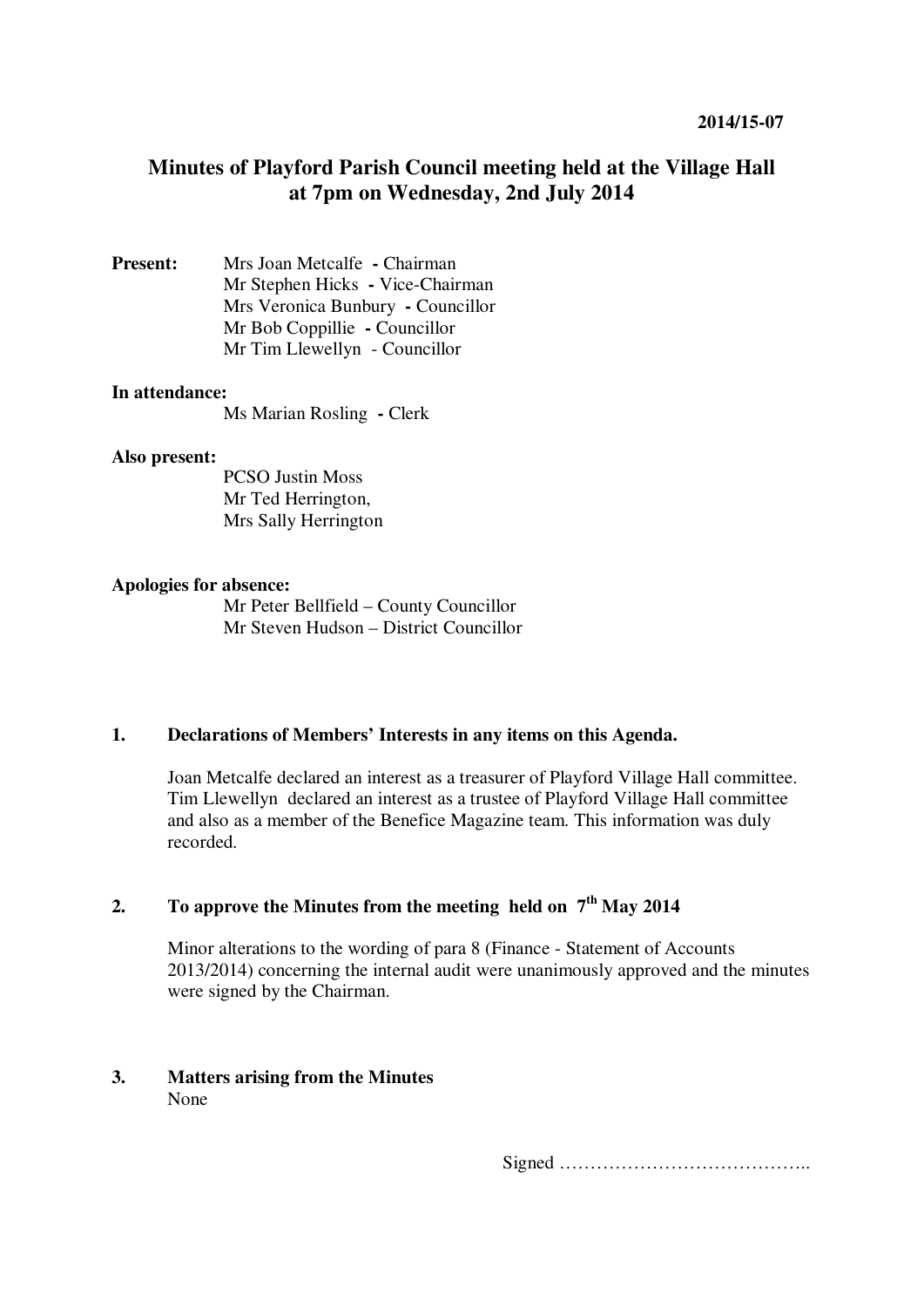# **Minutes of Playford Parish Council meeting held at the Village Hall at 7pm on Wednesday, 2nd July 2014**

**Present:** Mrs Joan Metcalfe **-** Chairman Mr Stephen Hicks **-** Vice-Chairman Mrs Veronica Bunbury **-** Councillor Mr Bob Coppillie **-** Councillor Mr Tim Llewellyn - Councillor

## **In attendance:**

Ms Marian Rosling **-** Clerk

#### **Also present:**

PCSO Justin Moss Mr Ted Herrington, Mrs Sally Herrington

#### **Apologies for absence:**

Mr Peter Bellfield – County Councillor Mr Steven Hudson – District Councillor

## **1. Declarations of Members' Interests in any items on this Agenda.**

Joan Metcalfe declared an interest as a treasurer of Playford Village Hall committee. Tim Llewellyndeclared an interest as a trustee of Playford Village Hall committee and also as a member of the Benefice Magazine team. This information was duly recorded.

## **2. To approve the Minutes from the meeting held on 7th May 2014**

Minor alterations to the wording of para 8 (Finance - Statement of Accounts 2013/2014) concerning the internal audit were unanimously approved and the minutes were signed by the Chairman.

## **3. Matters arising from the Minutes**  None

Signed …………………………………..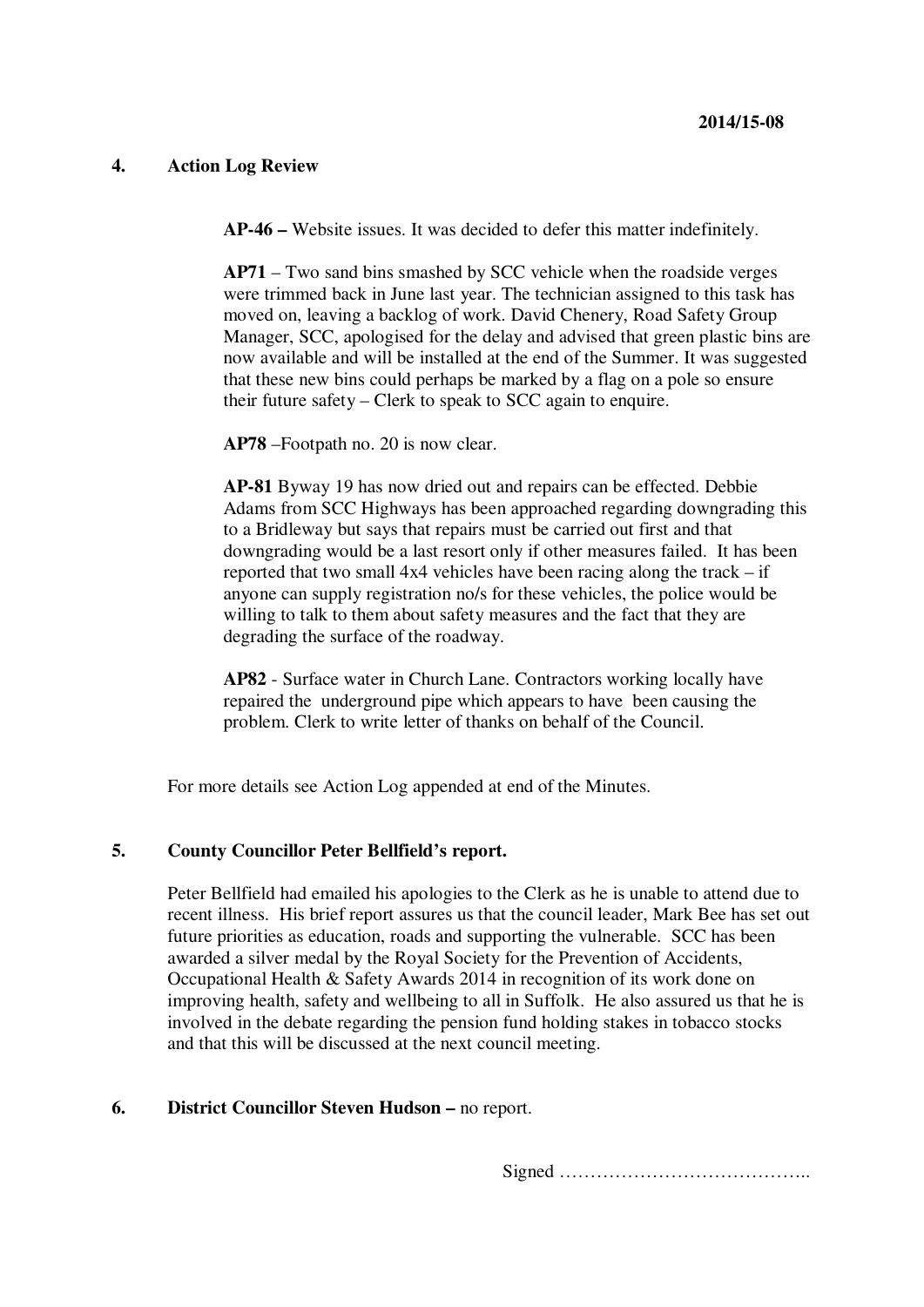## **4. Action Log Review**

**AP-46 –** Website issues. It was decided to defer this matter indefinitely.

**AP71** – Two sand bins smashed by SCC vehicle when the roadside verges were trimmed back in June last year. The technician assigned to this task has moved on, leaving a backlog of work. David Chenery, Road Safety Group Manager, SCC, apologised for the delay and advised that green plastic bins are now available and will be installed at the end of the Summer. It was suggested that these new bins could perhaps be marked by a flag on a pole so ensure their future safety – Clerk to speak to SCC again to enquire.

**AP78** –Footpath no. 20 is now clear.

**AP-81** Byway 19 has now dried out and repairs can be effected. Debbie Adams from SCC Highways has been approached regarding downgrading this to a Bridleway but says that repairs must be carried out first and that downgrading would be a last resort only if other measures failed. It has been reported that two small 4x4 vehicles have been racing along the track – if anyone can supply registration no/s for these vehicles, the police would be willing to talk to them about safety measures and the fact that they are degrading the surface of the roadway.

**AP82** - Surface water in Church Lane. Contractors working locally have repaired the underground pipe which appears to have been causing the problem. Clerk to write letter of thanks on behalf of the Council.

For more details see Action Log appended at end of the Minutes.

## **5. County Councillor Peter Bellfield's report.**

Peter Bellfield had emailed his apologies to the Clerk as he is unable to attend due to recent illness. His brief report assures us that the council leader, Mark Bee has set out future priorities as education, roads and supporting the vulnerable. SCC has been awarded a silver medal by the Royal Society for the Prevention of Accidents, Occupational Health & Safety Awards 2014 in recognition of its work done on improving health, safety and wellbeing to all in Suffolk. He also assured us that he is involved in the debate regarding the pension fund holding stakes in tobacco stocks and that this will be discussed at the next council meeting.

## **6. District Councillor Steven Hudson –** no report.

Signed …………………………………..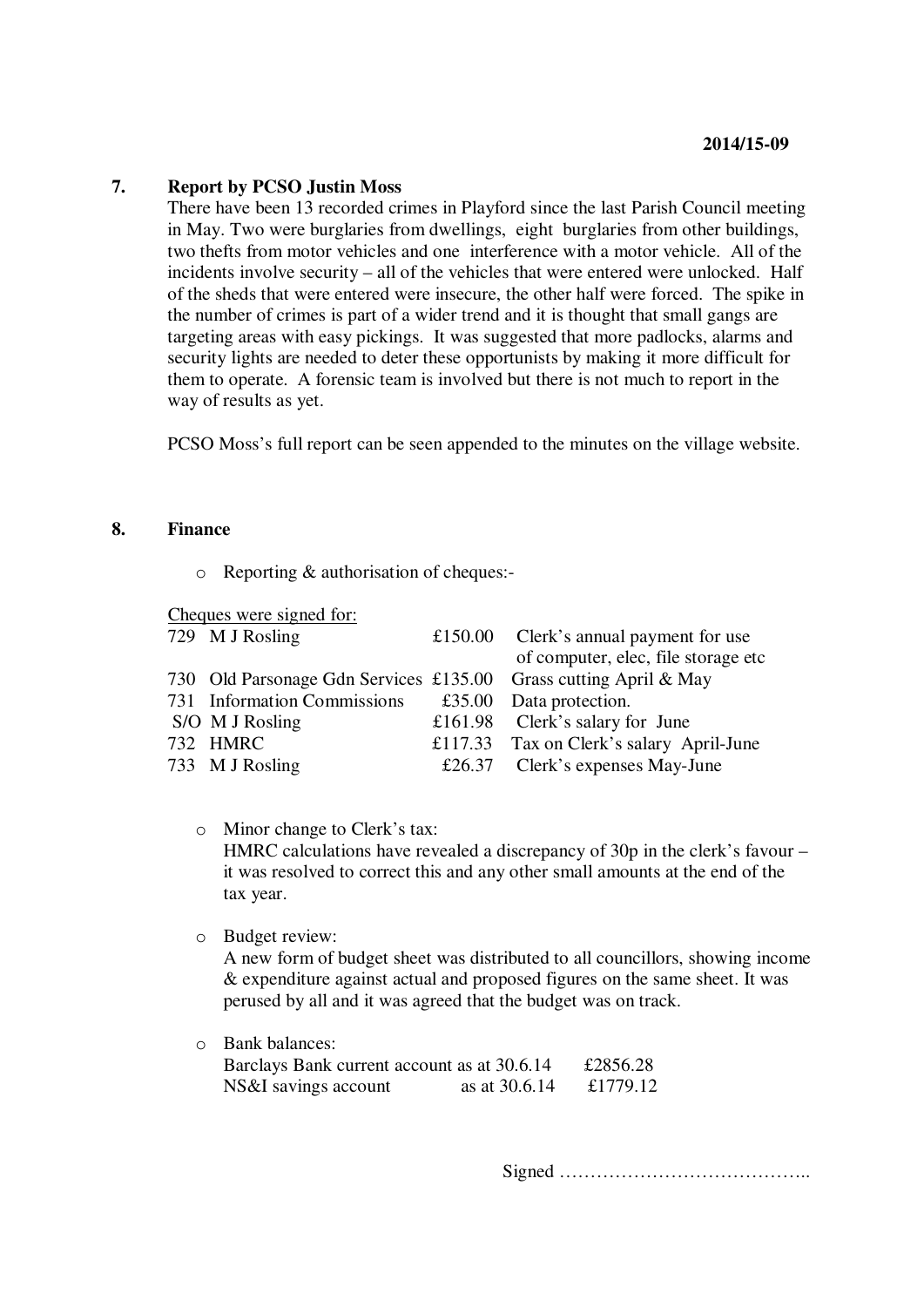#### **7. Report by PCSO Justin Moss**

There have been 13 recorded crimes in Playford since the last Parish Council meeting in May. Two were burglaries from dwellings, eight burglaries from other buildings, two thefts from motor vehicles and one interference with a motor vehicle. All of the incidents involve security – all of the vehicles that were entered were unlocked. Half of the sheds that were entered were insecure, the other half were forced. The spike in the number of crimes is part of a wider trend and it is thought that small gangs are targeting areas with easy pickings. It was suggested that more padlocks, alarms and security lights are needed to deter these opportunists by making it more difficult for them to operate. A forensic team is involved but there is not much to report in the way of results as yet.

PCSO Moss's full report can be seen appended to the minutes on the village website.

### **8. Finance**

o Reporting & authorisation of cheques:-

Cheques were signed for:

|  | 729 M J Rosling                                                  | £150.00 Clerk's annual payment for use   |
|--|------------------------------------------------------------------|------------------------------------------|
|  |                                                                  | of computer, elec, file storage etc      |
|  | 730 Old Parsonage Gdn Services £135.00 Grass cutting April & May |                                          |
|  | 731 Information Commissions                                      | £35.00 Data protection.                  |
|  | S/O M J Rosling                                                  | £161.98 Clerk's salary for June          |
|  | 732 HMRC                                                         | £117.33 Tax on Clerk's salary April-June |
|  | 733 M J Rosling                                                  | £26.37 Clerk's expenses May-June         |
|  |                                                                  |                                          |

## o Minor change to Clerk's tax: HMRC calculations have revealed a discrepancy of 30p in the clerk's favour – it was resolved to correct this and any other small amounts at the end of the tax year.

o Budget review:

A new form of budget sheet was distributed to all councillors, showing income & expenditure against actual and proposed figures on the same sheet. It was perused by all and it was agreed that the budget was on track.

o Bank balances: Barclays Bank current account as at 30.6.14 £2856.28 NS&I savings account as at 30.6.14 £1779.12

Signed …………………………………..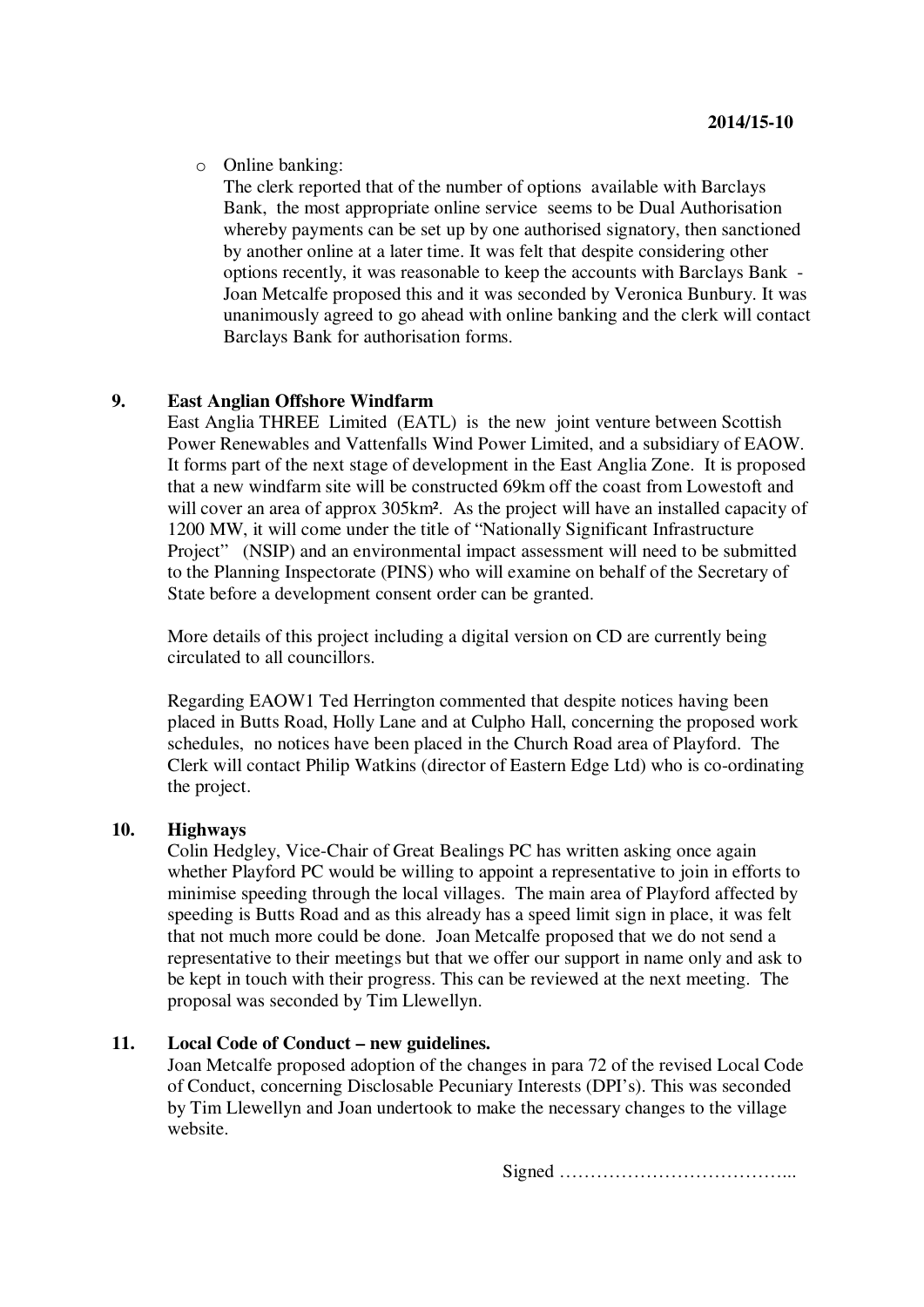o Online banking:

The clerk reported that of the number of options available with Barclays Bank, the most appropriate online service seems to be Dual Authorisation whereby payments can be set up by one authorised signatory, then sanctioned by another online at a later time. It was felt that despite considering other options recently, it was reasonable to keep the accounts with Barclays Bank - Joan Metcalfe proposed this and it was seconded by Veronica Bunbury. It was unanimously agreed to go ahead with online banking and the clerk will contact Barclays Bank for authorisation forms.

#### **9. East Anglian Offshore Windfarm**

East Anglia THREE Limited (EATL) is the new joint venture between Scottish Power Renewables and Vattenfalls Wind Power Limited, and a subsidiary of EAOW. It forms part of the next stage of development in the East Anglia Zone. It is proposed that a new windfarm site will be constructed 69km off the coast from Lowestoft and will cover an area of approx  $305 \text{km}^2$ . As the project will have an installed capacity of 1200 MW, it will come under the title of "Nationally Significant Infrastructure Project" (NSIP) and an environmental impact assessment will need to be submitted to the Planning Inspectorate (PINS) who will examine on behalf of the Secretary of State before a development consent order can be granted.

More details of this project including a digital version on CD are currently being circulated to all councillors.

Regarding EAOW1 Ted Herrington commented that despite notices having been placed in Butts Road, Holly Lane and at Culpho Hall, concerning the proposed work schedules, no notices have been placed in the Church Road area of Playford. The Clerk will contact Philip Watkins (director of Eastern Edge Ltd) who is co-ordinating the project.

#### **10. Highways**

Colin Hedgley, Vice-Chair of Great Bealings PC has written asking once again whether Playford PC would be willing to appoint a representative to join in efforts to minimise speeding through the local villages. The main area of Playford affected by speeding is Butts Road and as this already has a speed limit sign in place, it was felt that not much more could be done. Joan Metcalfe proposed that we do not send a representative to their meetings but that we offer our support in name only and ask to be kept in touch with their progress. This can be reviewed at the next meeting. The proposal was seconded by Tim Llewellyn.

## **11. Local Code of Conduct – new guidelines.**

Joan Metcalfe proposed adoption of the changes in para 72 of the revised Local Code of Conduct, concerning Disclosable Pecuniary Interests (DPI's). This was seconded by Tim Llewellyn and Joan undertook to make the necessary changes to the village website.

Signed ………………………………...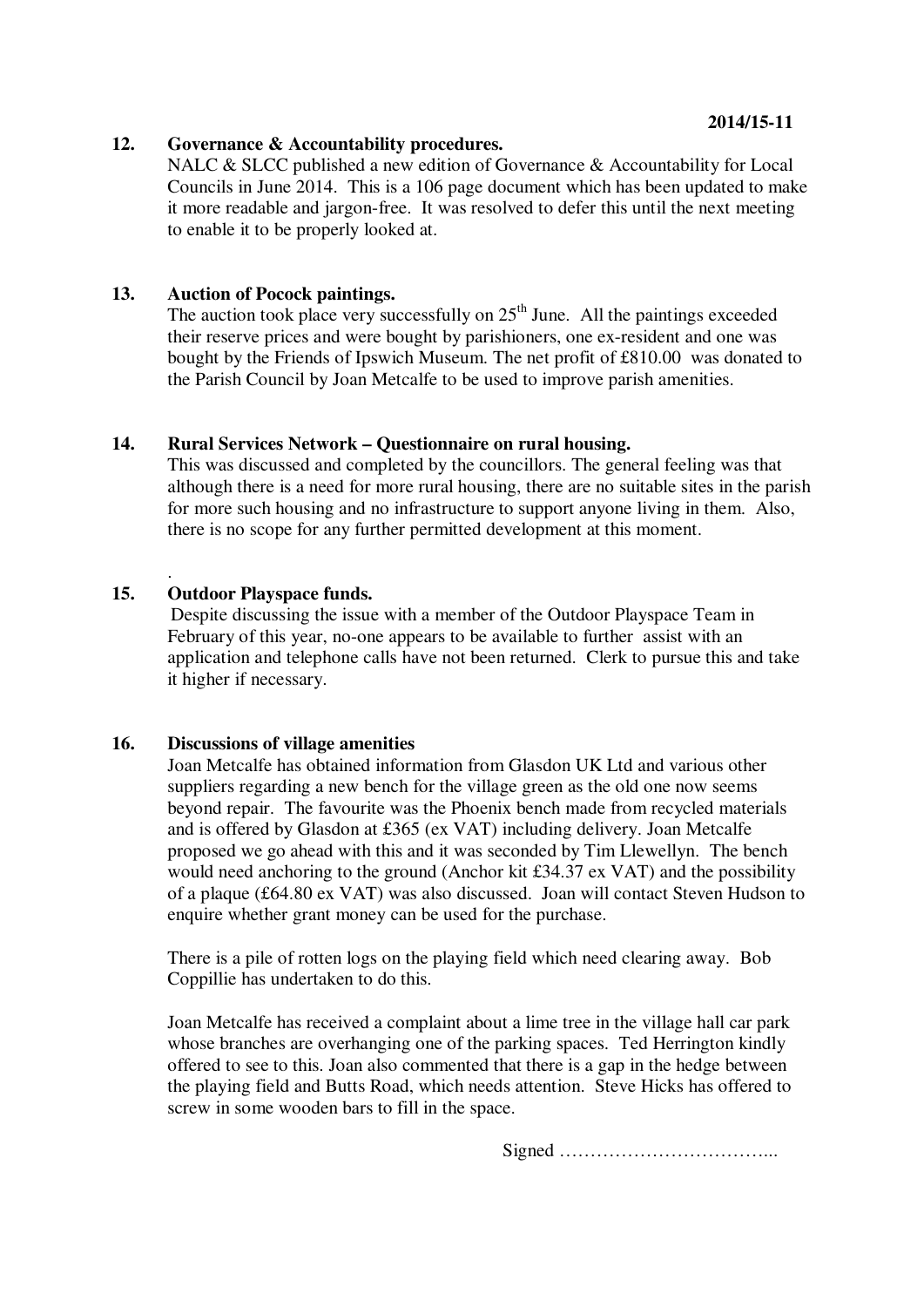#### **12. Governance & Accountability procedures.**

NALC & SLCC published a new edition of Governance & Accountability for Local Councils in June 2014. This is a 106 page document which has been updated to make it more readable and jargon-free. It was resolved to defer this until the next meeting to enable it to be properly looked at.

#### **13. Auction of Pocock paintings.**

The auction took place very successfully on 25<sup>th</sup> June. All the paintings exceeded their reserve prices and were bought by parishioners, one ex-resident and one was bought by the Friends of Ipswich Museum. The net profit of £810.00 was donated to the Parish Council by Joan Metcalfe to be used to improve parish amenities.

#### **14. Rural Services Network – Questionnaire on rural housing.**

This was discussed and completed by the councillors. The general feeling was that although there is a need for more rural housing, there are no suitable sites in the parish for more such housing and no infrastructure to support anyone living in them. Also, there is no scope for any further permitted development at this moment.

## **15. Outdoor Playspace funds.**

.

Despite discussing the issue with a member of the Outdoor Playspace Team in February of this year, no-one appears to be available to further assist with an application and telephone calls have not been returned. Clerk to pursue this and take it higher if necessary.

#### **16. Discussions of village amenities**

Joan Metcalfe has obtained information from Glasdon UK Ltd and various other suppliers regarding a new bench for the village green as the old one now seems beyond repair. The favourite was the Phoenix bench made from recycled materials and is offered by Glasdon at £365 (ex VAT) including delivery. Joan Metcalfe proposed we go ahead with this and it was seconded by Tim Llewellyn. The bench would need anchoring to the ground (Anchor kit £34.37 ex VAT) and the possibility of a plaque (£64.80 ex VAT) was also discussed. Joan will contact Steven Hudson to enquire whether grant money can be used for the purchase.

There is a pile of rotten logs on the playing field which need clearing away. Bob Coppillie has undertaken to do this.

Joan Metcalfe has received a complaint about a lime tree in the village hall car park whose branches are overhanging one of the parking spaces. Ted Herrington kindly offered to see to this. Joan also commented that there is a gap in the hedge between the playing field and Butts Road, which needs attention. Steve Hicks has offered to screw in some wooden bars to fill in the space.

Signed ……………………………...